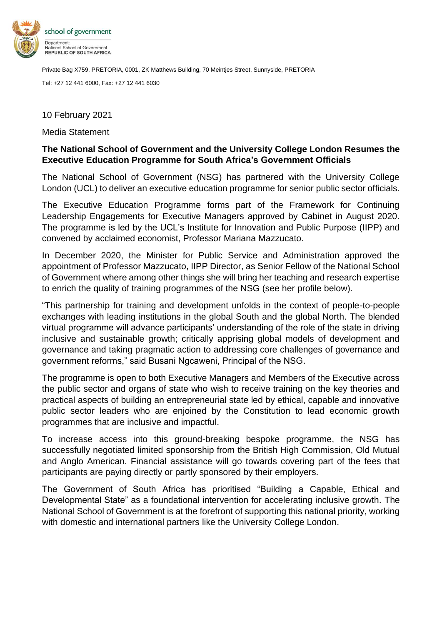

Private Bag X759, PRETORIA, 0001, ZK Matthews Building, 70 Meintjes Street, Sunnyside, PRETORIA

Tel: +27 12 441 6000, Fax: +27 12 441 6030

## 10 February 2021

Media Statement

## **The National School of Government and the University College London Resumes the Executive Education Programme for South Africa's Government Officials**

The National School of Government (NSG) has partnered with the University College London (UCL) to deliver an executive education programme for senior public sector officials.

The Executive Education Programme forms part of the Framework for Continuing Leadership Engagements for Executive Managers approved by Cabinet in August 2020. The programme is led by the UCL's Institute for Innovation and Public Purpose (IIPP) and convened by acclaimed economist, Professor Mariana Mazzucato.

In December 2020, the Minister for Public Service and Administration approved the appointment of Professor Mazzucato, IIPP Director, as Senior Fellow of the National School of Government where among other things she will bring her teaching and research expertise to enrich the quality of training programmes of the NSG (see her profile below).

"This partnership for training and development unfolds in the context of people-to-people exchanges with leading institutions in the global South and the global North. The blended virtual programme will advance participants' understanding of the role of the state in driving inclusive and sustainable growth; critically apprising global models of development and governance and taking pragmatic action to addressing core challenges of governance and government reforms," said Busani Ngcaweni, Principal of the NSG.

The programme is open to both Executive Managers and Members of the Executive across the public sector and organs of state who wish to receive training on the key theories and practical aspects of building an entrepreneurial state led by ethical, capable and innovative public sector leaders who are enjoined by the Constitution to lead economic growth programmes that are inclusive and impactful.

To increase access into this ground-breaking bespoke programme, the NSG has successfully negotiated limited sponsorship from the British High Commission, Old Mutual and Anglo American. Financial assistance will go towards covering part of the fees that participants are paying directly or partly sponsored by their employers.

The Government of South Africa has prioritised "Building a Capable, Ethical and Developmental State" as a foundational intervention for accelerating inclusive growth. The National School of Government is at the forefront of supporting this national priority, working with domestic and international partners like the University College London.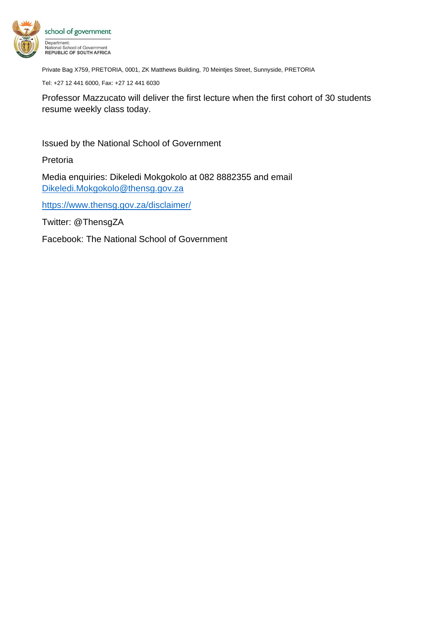

Private Bag X759, PRETORIA, 0001, ZK Matthews Building, 70 Meintjes Street, Sunnyside, PRETORIA

Tel: +27 12 441 6000, Fax: +27 12 441 6030

Professor Mazzucato will deliver the first lecture when the first cohort of 30 students resume weekly class today.

Issued by the National School of Government

Pretoria

Media enquiries: Dikeledi Mokgokolo at 082 8882355 and email [Dikeledi.Mokgokolo@thensg.gov.za](mailto:Dikeledi.Mokgokolo@thensg.gov.za)

<https://www.thensg.gov.za/disclaimer/>

Twitter: @ThensgZA

Facebook: The National School of Government